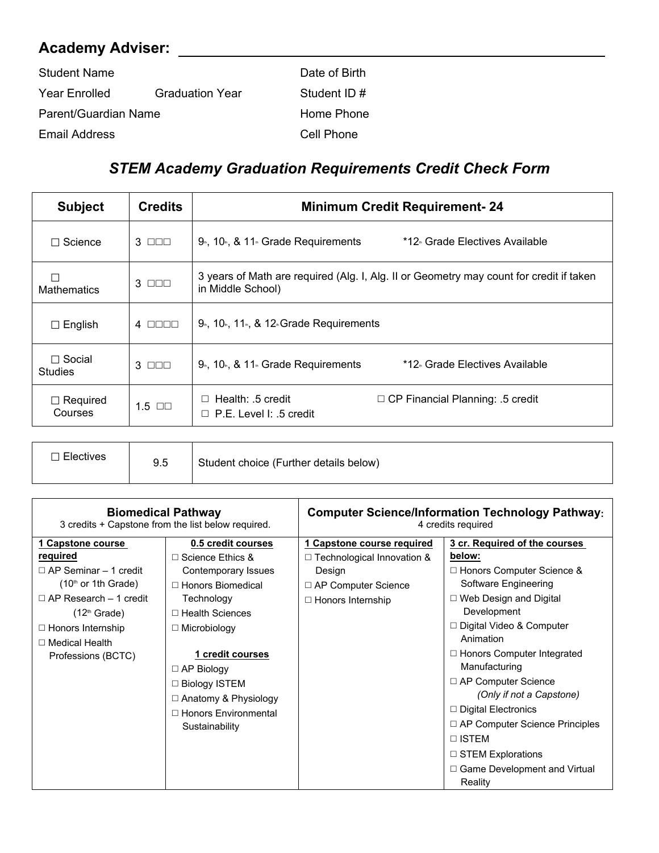## **Academy Adviser:**

| <b>Student Name</b>  |                        | Date of Birth |
|----------------------|------------------------|---------------|
| Year Enrolled        | <b>Graduation Year</b> | Student ID#   |
| Parent/Guardian Name |                        | Home Phone    |
| Email Address        |                        | Cell Phone    |

## *STEM Academy Graduation Requirements Credit Check Form*

| <b>Subject</b>                  | <b>Credits</b>           | <b>Minimum Credit Requirement-24</b>                                                                         |  |
|---------------------------------|--------------------------|--------------------------------------------------------------------------------------------------------------|--|
| $\Box$ Science                  | $3$ $\Box$ $\Box$        | $9th$ , 10 $th$ , & 11 $th$ Grade Requirements<br>*12 Grade Electives Available                              |  |
| Mathematics                     | $3$ $\Box$ $\Box$        | 3 years of Math are required (Alg. I, Alg. II or Geometry may count for credit if taken<br>in Middle School) |  |
| $\Box$ English                  | $4$ $\Box$ $\Box$ $\Box$ | $9th$ , 10 <sup>th</sup> , 11 <sup>th</sup> , & 12 <sup>th</sup> Grade Requirements                          |  |
| $\Box$ Social<br><b>Studies</b> | $3$ $\Box$ $\Box$        | $9th$ , 10 <sup>th</sup> , & 11 <sup>th</sup> Grade Requirements<br>*12 Grade Electives Available            |  |
| $\Box$ Required<br>Courses      | $1.5$ $\Box$             | Health: .5 credit<br>$\Box$ CP Financial Planning: .5 credit<br>$\Box$<br>P.E. Level I: .5 credit<br>$\Box$  |  |

| <b>Electives</b> | ษ.อ | Student choice (Further details below) |
|------------------|-----|----------------------------------------|
|------------------|-----|----------------------------------------|

|                                                                                                                                                                                                                      | <b>Biomedical Pathway</b><br>3 credits + Capstone from the list below required.                                                                                                                                                                                                                             |                                                                                                                                     | <b>Computer Science/Information Technology Pathway:</b><br>4 credits required                                                                                                                                                                                                                                                                                                                                                                                                            |
|----------------------------------------------------------------------------------------------------------------------------------------------------------------------------------------------------------------------|-------------------------------------------------------------------------------------------------------------------------------------------------------------------------------------------------------------------------------------------------------------------------------------------------------------|-------------------------------------------------------------------------------------------------------------------------------------|------------------------------------------------------------------------------------------------------------------------------------------------------------------------------------------------------------------------------------------------------------------------------------------------------------------------------------------------------------------------------------------------------------------------------------------------------------------------------------------|
| 1 Capstone course<br>required<br>$\Box$ AP Seminar – 1 credit<br>$(10th$ or 1th Grade)<br>$\Box$ AP Research – 1 credit<br>$(12th$ Grade)<br>$\Box$ Honors Internship<br>$\Box$ Medical Health<br>Professions (BCTC) | 0.5 credit courses<br>$\Box$ Science Ethics &<br>Contemporary Issues<br>□ Honors Biomedical<br>Technology<br>$\Box$ Health Sciences<br>$\Box$ Microbiology<br>1 credit courses<br>$\Box$ AP Biology<br>$\Box$ Biology ISTEM<br>$\Box$ Anatomy & Physiology<br>$\Box$ Honors Environmental<br>Sustainability | 1 Capstone course required<br>$\Box$ Technological Innovation &<br>Design<br>$\Box$ AP Computer Science<br>$\Box$ Honors Internship | 3 cr. Required of the courses<br>below:<br>$\Box$ Honors Computer Science &<br>Software Engineering<br>$\Box$ Web Design and Digital<br>Development<br>$\Box$ Digital Video & Computer<br>Animation<br>$\Box$ Honors Computer Integrated<br>Manufacturing<br>$\Box$ AP Computer Science<br>(Only if not a Capstone)<br>$\Box$ Digital Electronics<br>$\Box$ AP Computer Science Principles<br>$\Box$ ISTEM<br>$\Box$ STEM Explorations<br>$\Box$ Game Development and Virtual<br>Reality |